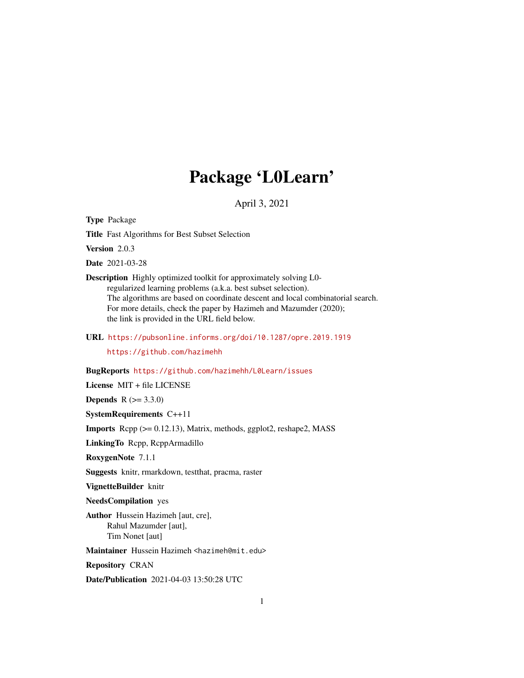# Package 'L0Learn'

April 3, 2021

Type Package

Title Fast Algorithms for Best Subset Selection

Version 2.0.3

Date 2021-03-28

Description Highly optimized toolkit for approximately solving L0 regularized learning problems (a.k.a. best subset selection). The algorithms are based on coordinate descent and local combinatorial search. For more details, check the paper by Hazimeh and Mazumder (2020); the link is provided in the URL field below.

URL <https://pubsonline.informs.org/doi/10.1287/opre.2019.1919>

<https://github.com/hazimehh>

BugReports <https://github.com/hazimehh/L0Learn/issues>

License MIT + file LICENSE

**Depends**  $R (= 3.3.0)$ 

SystemRequirements C++11

Imports Rcpp (>= 0.12.13), Matrix, methods, ggplot2, reshape2, MASS

LinkingTo Rcpp, RcppArmadillo

RoxygenNote 7.1.1

Suggests knitr, rmarkdown, testthat, pracma, raster

VignetteBuilder knitr

NeedsCompilation yes

Author Hussein Hazimeh [aut, cre], Rahul Mazumder [aut], Tim Nonet [aut]

Maintainer Hussein Hazimeh <hazimeh@mit.edu>

Repository CRAN

Date/Publication 2021-04-03 13:50:28 UTC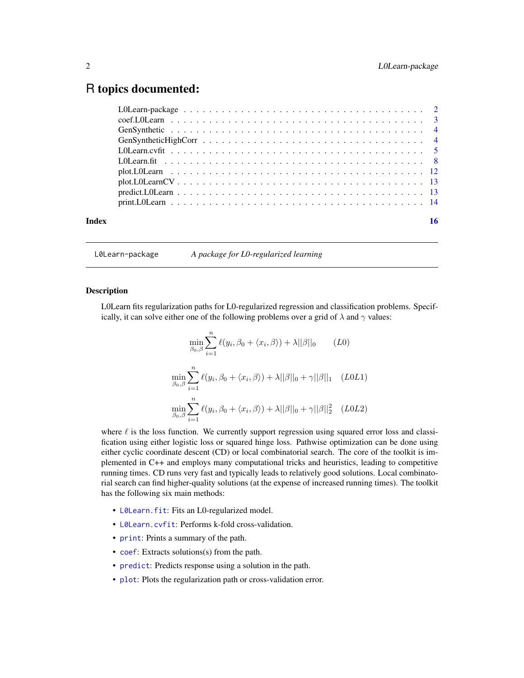# <span id="page-1-0"></span>R topics documented:

| Index |  |
|-------|--|
|       |  |

L0Learn-package *A package for L0-regularized learning*

#### Description

L0Learn fits regularization paths for L0-regularized regression and classification problems. Specifically, it can solve either one of the following problems over a grid of  $\lambda$  and  $\gamma$  values:

$$
\min_{\beta_0, \beta} \sum_{i=1}^n \ell(y_i, \beta_0 + \langle x_i, \beta \rangle) + \lambda ||\beta||_0 \qquad (L0)
$$
  

$$
\min_{\beta_0, \beta} \sum_{i=1}^n \ell(y_i, \beta_0 + \langle x_i, \beta \rangle) + \lambda ||\beta||_0 + \gamma ||\beta||_1 \qquad (L0L1)
$$
  

$$
\min_{\beta_0, \beta} \sum_{i=1}^n \ell(y_i, \beta_0 + \langle x_i, \beta \rangle) + \lambda ||\beta||_0 + \gamma ||\beta||_2^2 \qquad (L0L2)
$$

where  $\ell$  is the loss function. We currently support regression using squared error loss and classification using either logistic loss or squared hinge loss. Pathwise optimization can be done using either cyclic coordinate descent (CD) or local combinatorial search. The core of the toolkit is implemented in C++ and employs many computational tricks and heuristics, leading to competitive running times. CD runs very fast and typically leads to relatively good solutions. Local combinatorial search can find higher-quality solutions (at the expense of increased running times). The toolkit has the following six main methods:

- [L0Learn.fit](#page-7-1): Fits an L0-regularized model.
- [L0Learn.cvfit](#page-4-1): Performs k-fold cross-validation.
- [print](#page-13-1): Prints a summary of the path.
- [coef](#page-2-1): Extracts solutions(s) from the path.
- [predict](#page-12-1): Predicts response using a solution in the path.
- [plot](#page-11-1): Plots the regularization path or cross-validation error.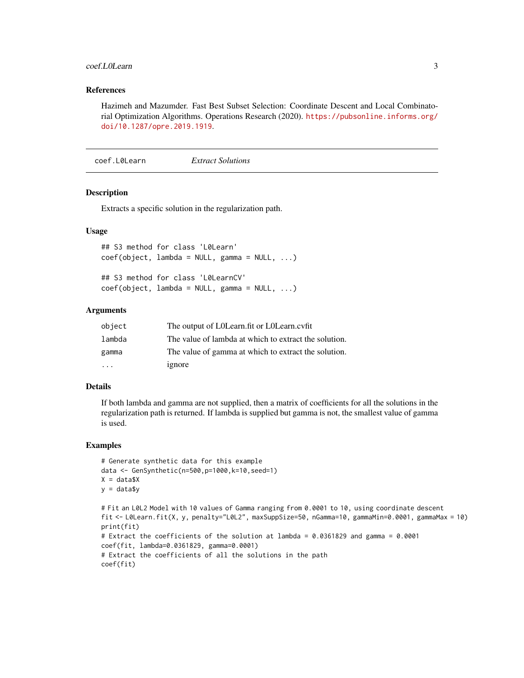#### <span id="page-2-0"></span>coef.LOLearn 3

## References

Hazimeh and Mazumder. Fast Best Subset Selection: Coordinate Descent and Local Combinatorial Optimization Algorithms. Operations Research (2020). [https://pubsonline.informs.org/](https://pubsonline.informs.org/doi/10.1287/opre.2019.1919) [doi/10.1287/opre.2019.1919](https://pubsonline.informs.org/doi/10.1287/opre.2019.1919).

<span id="page-2-1"></span>coef.L0Learn *Extract Solutions*

# Description

Extracts a specific solution in the regularization path.

# Usage

## S3 method for class 'L0Learn'  $coef(object, lambda = NULL, gamma = NULL, ...)$ ## S3 method for class 'L0LearnCV' coef(object, lambda = NULL, gamma = NULL, ...)

#### Arguments

| object  | The output of L0Learn.fit or L0Learn.cvfit            |
|---------|-------------------------------------------------------|
| lambda  | The value of lambda at which to extract the solution. |
| gamma   | The value of gamma at which to extract the solution.  |
| $\cdot$ | ignore                                                |

# Details

If both lambda and gamma are not supplied, then a matrix of coefficients for all the solutions in the regularization path is returned. If lambda is supplied but gamma is not, the smallest value of gamma is used.

### Examples

```
# Generate synthetic data for this example
data <- GenSynthetic(n=500,p=1000,k=10,seed=1)
X = data $Xy = data$y
# Fit an L0L2 Model with 10 values of Gamma ranging from 0.0001 to 10, using coordinate descent
fit <- L0Learn.fit(X, y, penalty="L0L2", maxSuppSize=50, nGamma=10, gammaMin=0.0001, gammaMax = 10)
print(fit)
# Extract the coefficients of the solution at lambda = 0.0361829 and gamma = 0.0001
coef(fit, lambda=0.0361829, gamma=0.0001)
# Extract the coefficients of all the solutions in the path
coef(fit)
```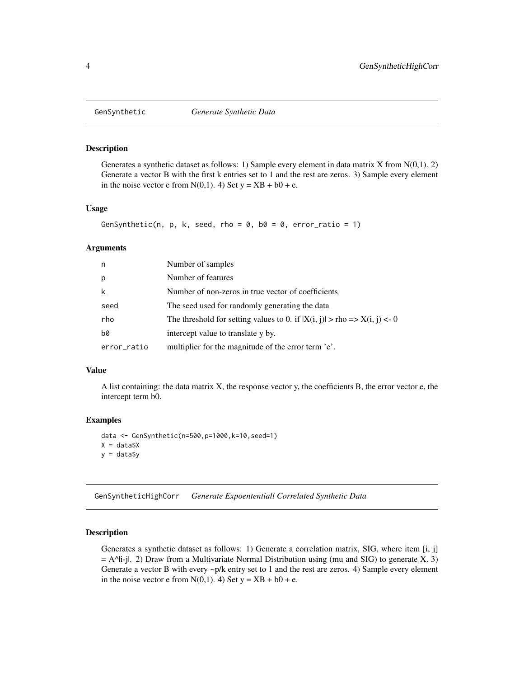<span id="page-3-0"></span>

#### Description

Generates a synthetic dataset as follows: 1) Sample every element in data matrix X from N(0,1). 2) Generate a vector B with the first k entries set to 1 and the rest are zeros. 3) Sample every element in the noise vector e from  $N(0,1)$ . 4) Set  $y = XB + b0 + e$ .

# Usage

```
GenSynthetic(n, p, k, seed, rho = 0, b0 = 0, error_ratio = 1)
```
#### Arguments

| n.          | Number of samples                                                                   |
|-------------|-------------------------------------------------------------------------------------|
| p           | Number of features                                                                  |
| k           | Number of non-zeros in true vector of coefficients                                  |
| seed        | The seed used for randomly generating the data                                      |
| rho         | The threshold for setting values to 0. if $ X(i, j)  > rho \Rightarrow X(i, j) < 0$ |
| b0          | intercept value to translate y by.                                                  |
| error_ratio | multiplier for the magnitude of the error term 'e'.                                 |

#### Value

A list containing: the data matrix X, the response vector y, the coefficients B, the error vector e, the intercept term b0.

# Examples

```
data <- GenSynthetic(n=500,p=1000,k=10,seed=1)
X = data $Xy = data$y
```
GenSyntheticHighCorr *Generate Expoententiall Correlated Synthetic Data*

# **Description**

Generates a synthetic dataset as follows: 1) Generate a correlation matrix, SIG, where item [i, j]  $=$  A^|i-j|. 2) Draw from a Multivariate Normal Distribution using (mu and SIG) to generate X. 3) Generate a vector B with every ~p/k entry set to 1 and the rest are zeros. 4) Sample every element in the noise vector e from  $N(0,1)$ . 4) Set  $y = XB + b0 + e$ .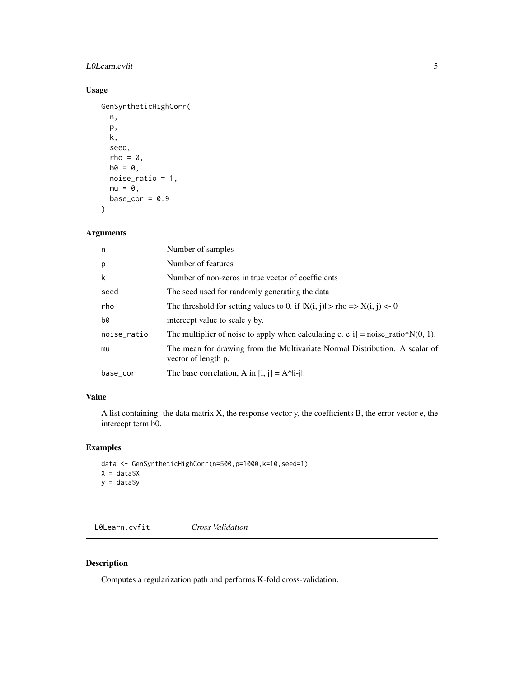# <span id="page-4-0"></span>L0Learn.cvfit 5

# Usage

```
GenSyntheticHighCorr(
  n,
 p,
 k,
  seed,
  rho = 0,
 b0 = 0,
 noise_ratio = 1,
 mu = 0,
 base_cor = 0.9)
```
# Arguments

| n           | Number of samples                                                                                  |
|-------------|----------------------------------------------------------------------------------------------------|
| p           | Number of features                                                                                 |
| k           | Number of non-zeros in true vector of coefficients                                                 |
| seed        | The seed used for randomly generating the data                                                     |
| rho         | The threshold for setting values to 0. if $ X(i, j)  > rho \Rightarrow X(i, j) < 0$                |
| b0          | intercept value to scale y by.                                                                     |
| noise_ratio | The multiplier of noise to apply when calculating e. $e[i]$ = noise_ratio*N(0, 1).                 |
| mu          | The mean for drawing from the Multivariate Normal Distribution. A scalar of<br>vector of length p. |
| base_cor    | The base correlation, A in $[i, j] = A^i[i-j]$ .                                                   |
|             |                                                                                                    |

# Value

A list containing: the data matrix X, the response vector y, the coefficients B, the error vector e, the intercept term b0.

# Examples

```
data <- GenSyntheticHighCorr(n=500,p=1000,k=10,seed=1)
X = data $Xy = data$y
```
<span id="page-4-1"></span>L0Learn.cvfit *Cross Validation*

# Description

Computes a regularization path and performs K-fold cross-validation.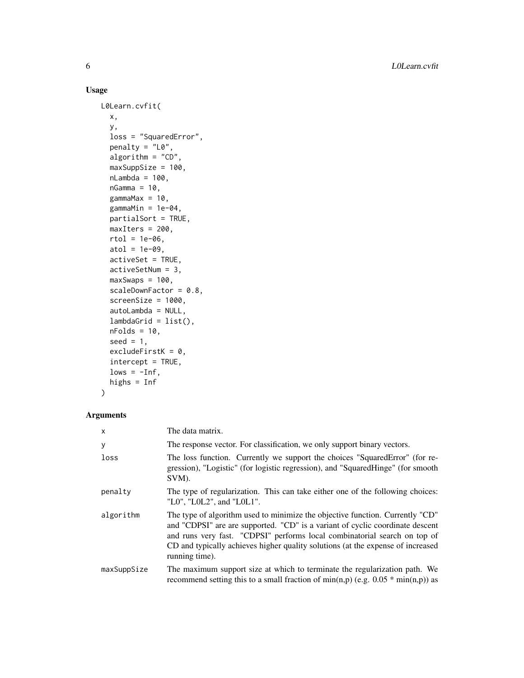# Usage

```
L0Learn.cvfit(
 x,
 y,
  loss = "SquaredError",
 penalty = "L0",algorithm = "CD",
 maxSuppSize = 100,
 nLambda = 100,
  nGamma = 10,
  gammaMax = 10,
 gammaMin = 1e-04,
 partialSort = TRUE,
 maxIters = 200,rtol = 1e-06,
 atol = 1e-09,
 activeSet = TRUE,
 activeSetNum = 3,
 maxSwaps = 100,
  scaleDownFactor = 0.8,
  screenSize = 1000,
  autoLambda = NULL,
  lambdaGrid = list(),
  nFolds = 10,
  seed = 1,
  excludeFirstK = 0,
  intercept = TRUE,
  lows = -Inf,highs = Inf
\mathcal{L}
```
# Arguments

| X           | The data matrix.                                                                                                                                                                                                                                                                                                                                 |
|-------------|--------------------------------------------------------------------------------------------------------------------------------------------------------------------------------------------------------------------------------------------------------------------------------------------------------------------------------------------------|
| У           | The response vector. For classification, we only support binary vectors.                                                                                                                                                                                                                                                                         |
| loss        | The loss function. Currently we support the choices "SquaredError" (for re-<br>gression), "Logistic" (for logistic regression), and "SquaredHinge" (for smooth<br>SVM).                                                                                                                                                                          |
| penalty     | The type of regularization. This can take either one of the following choices:<br>"L0", "L0L2", and "L0L1".                                                                                                                                                                                                                                      |
| algorithm   | The type of algorithm used to minimize the objective function. Currently "CD"<br>and "CDPSI" are are supported. "CD" is a variant of cyclic coordinate descent<br>and runs very fast. "CDPSI" performs local combinatorial search on top of<br>CD and typically achieves higher quality solutions (at the expense of increased<br>running time). |
| maxSuppSize | The maximum support size at which to terminate the regularization path. We<br>recommend setting this to a small fraction of min(n,p) (e.g. $0.05 * min(n,p)$ ) as                                                                                                                                                                                |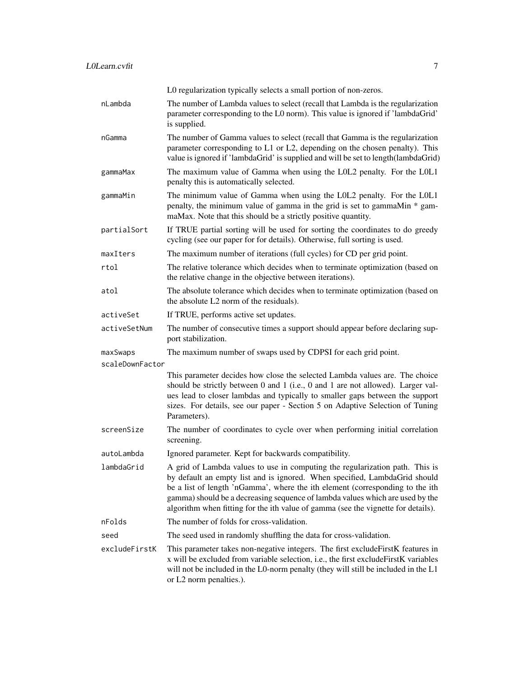|                 | L0 regularization typically selects a small portion of non-zeros.                                                                                                                                                                                                                                                                                                                                                 |
|-----------------|-------------------------------------------------------------------------------------------------------------------------------------------------------------------------------------------------------------------------------------------------------------------------------------------------------------------------------------------------------------------------------------------------------------------|
| nLambda         | The number of Lambda values to select (recall that Lambda is the regularization<br>parameter corresponding to the L0 norm). This value is ignored if 'lambdaGrid'<br>is supplied.                                                                                                                                                                                                                                 |
| nGamma          | The number of Gamma values to select (recall that Gamma is the regularization<br>parameter corresponding to L1 or L2, depending on the chosen penalty). This<br>value is ignored if 'lambdaGrid' is supplied and will be set to length(lambdaGrid)                                                                                                                                                                |
| gammaMax        | The maximum value of Gamma when using the L0L2 penalty. For the L0L1<br>penalty this is automatically selected.                                                                                                                                                                                                                                                                                                   |
| gammaMin        | The minimum value of Gamma when using the L0L2 penalty. For the L0L1<br>penalty, the minimum value of gamma in the grid is set to gammaMin * gam-<br>maMax. Note that this should be a strictly positive quantity.                                                                                                                                                                                                |
| partialSort     | If TRUE partial sorting will be used for sorting the coordinates to do greedy<br>cycling (see our paper for for details). Otherwise, full sorting is used.                                                                                                                                                                                                                                                        |
| maxIters        | The maximum number of iterations (full cycles) for CD per grid point.                                                                                                                                                                                                                                                                                                                                             |
| rtol            | The relative tolerance which decides when to terminate optimization (based on<br>the relative change in the objective between iterations).                                                                                                                                                                                                                                                                        |
| atol            | The absolute tolerance which decides when to terminate optimization (based on<br>the absolute L2 norm of the residuals).                                                                                                                                                                                                                                                                                          |
| activeSet       | If TRUE, performs active set updates.                                                                                                                                                                                                                                                                                                                                                                             |
| activeSetNum    | The number of consecutive times a support should appear before declaring sup-<br>port stabilization.                                                                                                                                                                                                                                                                                                              |
| maxSwaps        | The maximum number of swaps used by CDPSI for each grid point.                                                                                                                                                                                                                                                                                                                                                    |
| scaleDownFactor |                                                                                                                                                                                                                                                                                                                                                                                                                   |
|                 | This parameter decides how close the selected Lambda values are. The choice<br>should be strictly between 0 and 1 (i.e., 0 and 1 are not allowed). Larger val-<br>ues lead to closer lambdas and typically to smaller gaps between the support<br>sizes. For details, see our paper - Section 5 on Adaptive Selection of Tuning<br>Parameters).                                                                   |
| screenSize      | The number of coordinates to cycle over when performing initial correlation<br>screening.                                                                                                                                                                                                                                                                                                                         |
| autoLambda      | Ignored parameter. Kept for backwards compatibility.                                                                                                                                                                                                                                                                                                                                                              |
| lambdaGrid      | A grid of Lambda values to use in computing the regularization path. This is<br>by default an empty list and is ignored. When specified, LambdaGrid should<br>be a list of length 'nGamma', where the ith element (corresponding to the ith<br>gamma) should be a decreasing sequence of lambda values which are used by the<br>algorithm when fitting for the ith value of gamma (see the vignette for details). |
| nFolds          | The number of folds for cross-validation.                                                                                                                                                                                                                                                                                                                                                                         |
| seed            | The seed used in randomly shuffling the data for cross-validation.                                                                                                                                                                                                                                                                                                                                                |
| excludeFirstK   | This parameter takes non-negative integers. The first excludeFirstK features in<br>x will be excluded from variable selection, i.e., the first excludeFirstK variables<br>will not be included in the L0-norm penalty (they will still be included in the L1<br>or L2 norm penalties.).                                                                                                                           |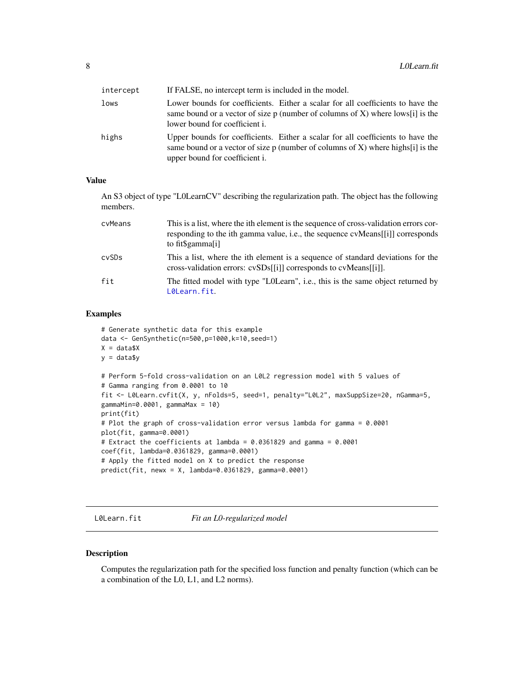<span id="page-7-0"></span>

| intercept | If FALSE, no intercept term is included in the model.                                                                                                                                                          |
|-----------|----------------------------------------------------------------------------------------------------------------------------------------------------------------------------------------------------------------|
| lows      | Lower bounds for coefficients. Either a scalar for all coefficients to have the<br>same bound or a vector of size p (number of columns of X) where $\text{low } s[i]$ is the<br>lower bound for coefficient i. |
| highs     | Upper bounds for coefficients. Either a scalar for all coefficients to have the<br>same bound or a vector of size $p$ (number of columns of X) where highs[i] is the<br>upper bound for coefficient i.         |

# Value

An S3 object of type "L0LearnCV" describing the regularization path. The object has the following members.

| cyMeans | This is a list, where the ith element is the sequence of cross-validation errors cor-<br>responding to the ith gamma value, i.e., the sequence cyMeans[[i]] corresponds<br>to fit\$gamma[i] |
|---------|---------------------------------------------------------------------------------------------------------------------------------------------------------------------------------------------|
| cySDs   | This a list, where the ith element is a sequence of standard deviations for the<br>cross-validation errors: cvSDs[[i]] corresponds to cvMeans[[i]].                                         |
| fit     | The fitted model with type "LOLearn", i.e., this is the same object returned by<br>L0Learn.fit.                                                                                             |

# Examples

```
# Generate synthetic data for this example
data <- GenSynthetic(n=500,p=1000,k=10,seed=1)
X = data $Xy = data$y
# Perform 5-fold cross-validation on an L0L2 regression model with 5 values of
# Gamma ranging from 0.0001 to 10
fit <- L0Learn.cvfit(X, y, nFolds=5, seed=1, penalty="L0L2", maxSuppSize=20, nGamma=5,
gammaMin=0.0001, gammaMax = 10)
print(fit)
# Plot the graph of cross-validation error versus lambda for gamma = 0.0001
plot(fit, gamma=0.0001)
# Extract the coefficients at lambda = 0.0361829 and gamma = 0.0001
coef(fit, lambda=0.0361829, gamma=0.0001)
# Apply the fitted model on X to predict the response
predict(fit, newx = X, lambda=0.0361829, gamma=0.0001)
```
<span id="page-7-1"></span>L0Learn.fit *Fit an L0-regularized model*

## Description

Computes the regularization path for the specified loss function and penalty function (which can be a combination of the L0, L1, and L2 norms).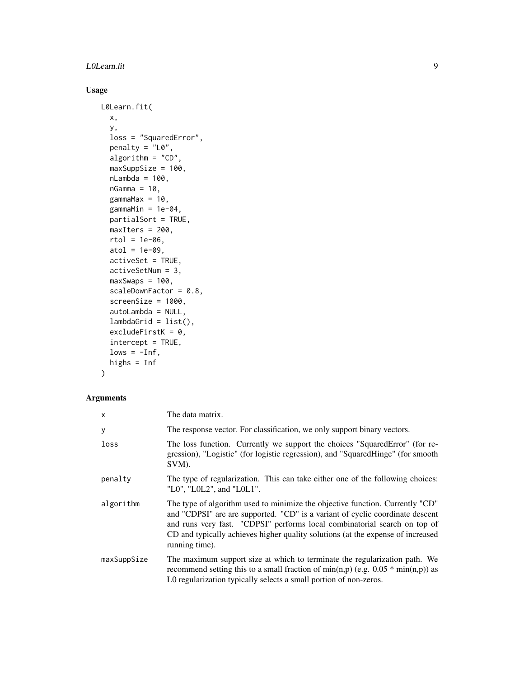## L0Learn.fit 9

# Usage

```
L0Learn.fit(
  x,
  y,
  loss = "SquaredError",
  penalty = "L0",algorithm = "CD",maxSuppSize = 100,
  nLambda = 100,
  nGamma = 10,
  gammaMax = 10,
  gammaMin = 1e-04,
  partialSort = TRUE,
  maxIters = 200,rtol = 1e-06,
  atol = 1e-09,
  activeSet = TRUE,
  activeSetNum = 3,
  maxSwaps = 100,
  scaleDownFactor = 0.8,
  screenSize = 1000,
  autoLambda = NULL,
  lambdaGrid = list(),
  excludeFirstK = 0,
  intercept = TRUE,
  lows = -Inf,highs = Inf
\mathcal{L}
```
# Arguments

| $\mathsf{x}$ | The data matrix.                                                                                                                                                                                                                                                                                                                                 |
|--------------|--------------------------------------------------------------------------------------------------------------------------------------------------------------------------------------------------------------------------------------------------------------------------------------------------------------------------------------------------|
| У            | The response vector. For classification, we only support binary vectors.                                                                                                                                                                                                                                                                         |
| loss         | The loss function. Currently we support the choices "SquaredError" (for re-<br>gression), "Logistic" (for logistic regression), and "SquaredHinge" (for smooth<br>SVM).                                                                                                                                                                          |
| penalty      | The type of regularization. This can take either one of the following choices:<br>"L0", "L0L2", and "L0L1".                                                                                                                                                                                                                                      |
| algorithm    | The type of algorithm used to minimize the objective function. Currently "CD"<br>and "CDPSI" are are supported. "CD" is a variant of cyclic coordinate descent<br>and runs very fast. "CDPSI" performs local combinatorial search on top of<br>CD and typically achieves higher quality solutions (at the expense of increased<br>running time). |
| maxSuppSize  | The maximum support size at which to terminate the regularization path. We<br>recommend setting this to a small fraction of min(n,p) (e.g. $0.05 * min(n,p)$ ) as<br>L0 regularization typically selects a small portion of non-zeros.                                                                                                           |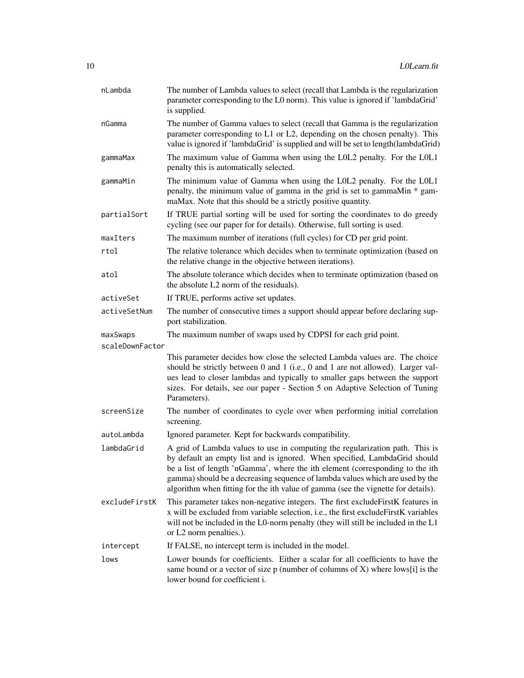| nLambda         | The number of Lambda values to select (recall that Lambda is the regularization<br>parameter corresponding to the L0 norm). This value is ignored if 'lambdaGrid'<br>is supplied.                                                                                                                                                                                                                                 |
|-----------------|-------------------------------------------------------------------------------------------------------------------------------------------------------------------------------------------------------------------------------------------------------------------------------------------------------------------------------------------------------------------------------------------------------------------|
| nGamma          | The number of Gamma values to select (recall that Gamma is the regularization<br>parameter corresponding to L1 or L2, depending on the chosen penalty). This<br>value is ignored if 'lambdaGrid' is supplied and will be set to length(lambdaGrid)                                                                                                                                                                |
| gammaMax        | The maximum value of Gamma when using the L0L2 penalty. For the L0L1<br>penalty this is automatically selected.                                                                                                                                                                                                                                                                                                   |
| gammaMin        | The minimum value of Gamma when using the L0L2 penalty. For the L0L1<br>penalty, the minimum value of gamma in the grid is set to gammaMin * gam-<br>maMax. Note that this should be a strictly positive quantity.                                                                                                                                                                                                |
| partialSort     | If TRUE partial sorting will be used for sorting the coordinates to do greedy<br>cycling (see our paper for for details). Otherwise, full sorting is used.                                                                                                                                                                                                                                                        |
| maxIters        | The maximum number of iterations (full cycles) for CD per grid point.                                                                                                                                                                                                                                                                                                                                             |
| rtol            | The relative tolerance which decides when to terminate optimization (based on<br>the relative change in the objective between iterations).                                                                                                                                                                                                                                                                        |
| atol            | The absolute tolerance which decides when to terminate optimization (based on<br>the absolute L2 norm of the residuals).                                                                                                                                                                                                                                                                                          |
| activeSet       | If TRUE, performs active set updates.                                                                                                                                                                                                                                                                                                                                                                             |
| activeSetNum    | The number of consecutive times a support should appear before declaring sup-<br>port stabilization.                                                                                                                                                                                                                                                                                                              |
| maxSwaps        | The maximum number of swaps used by CDPSI for each grid point.                                                                                                                                                                                                                                                                                                                                                    |
| scaleDownFactor |                                                                                                                                                                                                                                                                                                                                                                                                                   |
|                 | This parameter decides how close the selected Lambda values are. The choice<br>should be strictly between 0 and 1 (i.e., 0 and 1 are not allowed). Larger val-<br>ues lead to closer lambdas and typically to smaller gaps between the support<br>sizes. For details, see our paper - Section 5 on Adaptive Selection of Tuning<br>Parameters).                                                                   |
| screenSize      | The number of coordinates to cycle over when performing initial correlation<br>screening.                                                                                                                                                                                                                                                                                                                         |
| autoLambda      | Ignored parameter. Kept for backwards compatibility.                                                                                                                                                                                                                                                                                                                                                              |
| lambdaGrid      | A grid of Lambda values to use in computing the regularization path. This is<br>by default an empty list and is ignored. When specified, LambdaGrid should<br>be a list of length 'nGamma', where the ith element (corresponding to the ith<br>gamma) should be a decreasing sequence of lambda values which are used by the<br>algorithm when fitting for the ith value of gamma (see the vignette for details). |
| excludeFirstK   | This parameter takes non-negative integers. The first excludeFirstK features in<br>x will be excluded from variable selection, i.e., the first excludeFirstK variables<br>will not be included in the L0-norm penalty (they will still be included in the L1<br>or L2 norm penalties.).                                                                                                                           |
| intercept       | If FALSE, no intercept term is included in the model.                                                                                                                                                                                                                                                                                                                                                             |
| lows            | Lower bounds for coefficients. Either a scalar for all coefficients to have the<br>same bound or a vector of size $p$ (number of columns of X) where lows[i] is the<br>lower bound for coefficient i.                                                                                                                                                                                                             |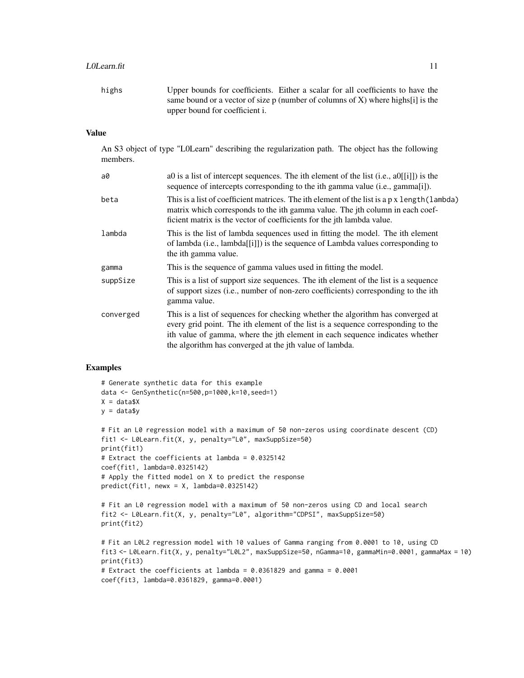## LOLearn.fit 11

highs Upper bounds for coefficients. Either a scalar for all coefficients to have the same bound or a vector of size  $p$  (number of columns of X) where highs[i] is the upper bound for coefficient i.

# Value

An S3 object of type "L0Learn" describing the regularization path. The object has the following members.

| a0        | ao is a list of intercept sequences. The ith element of the list (i.e., $a0\vert i \vert$ ) is the<br>sequence of intercepts corresponding to the ith gamma value (i.e., gamma[i]).                                                                                                                            |
|-----------|----------------------------------------------------------------------------------------------------------------------------------------------------------------------------------------------------------------------------------------------------------------------------------------------------------------|
| beta      | This is a list of coefficient matrices. The ith element of the list is a p x length (lambda)<br>matrix which corresponds to the ith gamma value. The jth column in each coef-<br>ficient matrix is the vector of coefficients for the jth lambda value.                                                        |
| lambda    | This is the list of lambda sequences used in fitting the model. The ith element<br>of lambda (i.e., lambda[[i]]) is the sequence of Lambda values corresponding to<br>the ith gamma value.                                                                                                                     |
| gamma     | This is the sequence of gamma values used in fitting the model.                                                                                                                                                                                                                                                |
| suppSize  | This is a list of support size sequences. The ith element of the list is a sequence<br>of support sizes (i.e., number of non-zero coefficients) corresponding to the ith<br>gamma value.                                                                                                                       |
| converged | This is a list of sequences for checking whether the algorithm has converged at<br>every grid point. The ith element of the list is a sequence corresponding to the<br>ith value of gamma, where the jth element in each sequence indicates whether<br>the algorithm has converged at the jth value of lambda. |

# Examples

```
# Generate synthetic data for this example
data <- GenSynthetic(n=500,p=1000,k=10,seed=1)
X = data $Xy = data
```

```
# Fit an L0 regression model with a maximum of 50 non-zeros using coordinate descent (CD)
fit1 <- L0Learn.fit(X, y, penalty="L0", maxSuppSize=50)
print(fit1)
# Extract the coefficients at lambda = 0.0325142
coef(fit1, lambda=0.0325142)
# Apply the fitted model on X to predict the response
predict(fit1, newx = X, lambda=0.0325142)# Fit an L0 regression model with a maximum of 50 non-zeros using CD and local search
fit2 <- L0Learn.fit(X, y, penalty="L0", algorithm="CDPSI", maxSuppSize=50)
print(fit2)
```

```
# Fit an L0L2 regression model with 10 values of Gamma ranging from 0.0001 to 10, using CD
fit3 <- L0Learn.fit(X, y, penalty="L0L2", maxSuppSize=50, nGamma=10, gammaMin=0.0001, gammaMax = 10)
print(fit3)
# Extract the coefficients at lambda = 0.0361829 and gamma = 0.0001
coef(fit3, lambda=0.0361829, gamma=0.0001)
```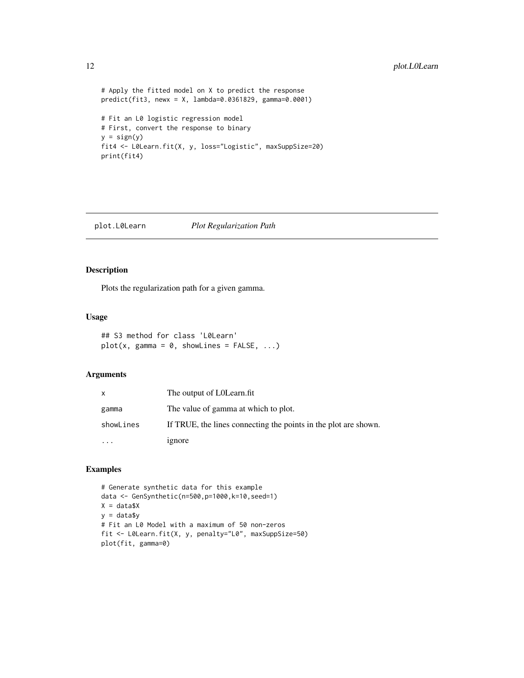```
# Apply the fitted model on X to predict the response
predict(fit3, newx = X, lambda=0.0361829, gamma=0.0001)
# Fit an L0 logistic regression model
# First, convert the response to binary
y = sign(y)fit4 <- L0Learn.fit(X, y, loss="Logistic", maxSuppSize=20)
print(fit4)
```
# <span id="page-11-1"></span>plot.L0Learn *Plot Regularization Path*

# Description

Plots the regularization path for a given gamma.

# Usage

```
## S3 method for class 'L0Learn'
plot(x, gamma = 0, showLines = FALSE, ...)
```
# Arguments

| X         | The output of LOLearn.fit                                       |
|-----------|-----------------------------------------------------------------|
| gamma     | The value of gamma at which to plot.                            |
| showLines | If TRUE, the lines connecting the points in the plot are shown. |
|           | ignore                                                          |

# Examples

# Generate synthetic data for this example data <- GenSynthetic(n=500,p=1000,k=10,seed=1)  $X = data $X$  $y = data$ \$y # Fit an L0 Model with a maximum of 50 non-zeros fit <- L0Learn.fit(X, y, penalty="L0", maxSuppSize=50) plot(fit, gamma=0)

<span id="page-11-0"></span>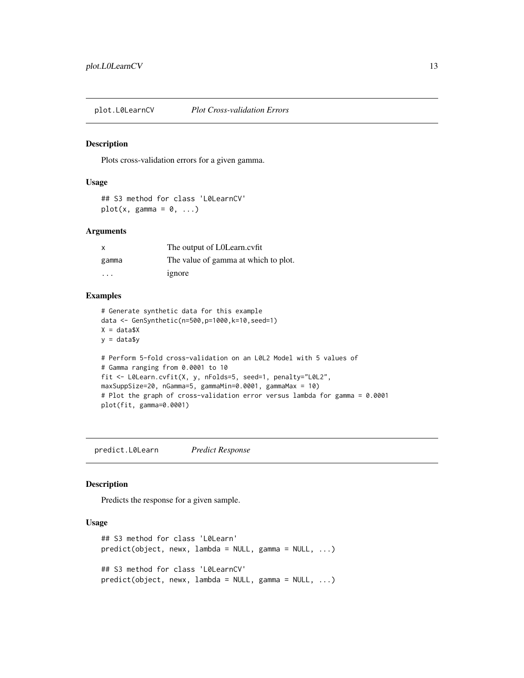<span id="page-12-0"></span>

# Description

Plots cross-validation errors for a given gamma.

#### Usage

```
## S3 method for class 'L0LearnCV'
plot(x, gamma = 0, ...)
```
# Arguments

| $\mathsf{x}$ | The output of LOLearn.cvfit          |
|--------------|--------------------------------------|
| gamma        | The value of gamma at which to plot. |
| .            | ignore                               |

# Examples

```
# Generate synthetic data for this example
data <- GenSynthetic(n=500,p=1000,k=10,seed=1)
X = data $Xy = data$y
# Perform 5-fold cross-validation on an L0L2 Model with 5 values of
# Gamma ranging from 0.0001 to 10
fit <- L0Learn.cvfit(X, y, nFolds=5, seed=1, penalty="L0L2",
maxSuppSize=20, nGamma=5, gammaMin=0.0001, gammaMax = 10)
# Plot the graph of cross-validation error versus lambda for gamma = 0.0001
plot(fit, gamma=0.0001)
```
<span id="page-12-1"></span>predict.L0Learn *Predict Response*

# Description

Predicts the response for a given sample.

# Usage

```
## S3 method for class 'L0Learn'
predict(object, newx, lambda = NULL, gamma = NULL, ...)## S3 method for class 'L0LearnCV'
predict(object, newx, lambda = NULL, gamma = NULL, ...)
```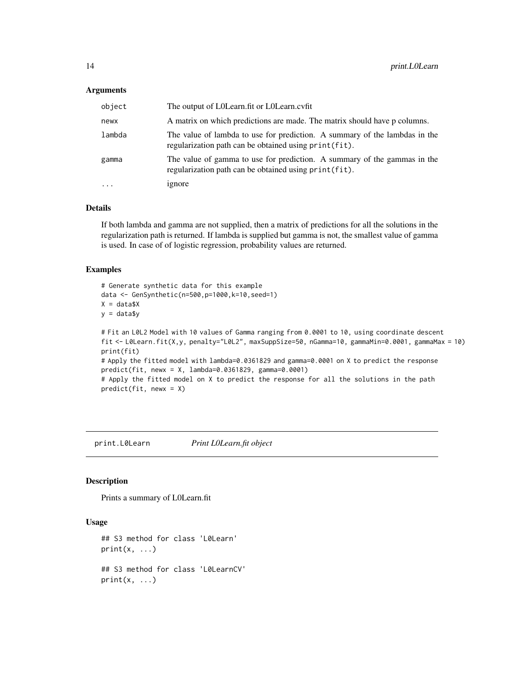#### <span id="page-13-0"></span>**Arguments**

| object   | The output of LOLearn fit or LOLearn cvfit.                                                                                          |
|----------|--------------------------------------------------------------------------------------------------------------------------------------|
| newx     | A matrix on which predictions are made. The matrix should have p columns.                                                            |
| lambda   | The value of lambda to use for prediction. A summary of the lambdas in the<br>regularization path can be obtained using print (fit). |
| gamma    | The value of gamma to use for prediction. A summary of the gammas in the<br>regularization path can be obtained using print (fit).   |
| $\ddots$ | 1gnore                                                                                                                               |

# Details

If both lambda and gamma are not supplied, then a matrix of predictions for all the solutions in the regularization path is returned. If lambda is supplied but gamma is not, the smallest value of gamma is used. In case of of logistic regression, probability values are returned.

# Examples

```
# Generate synthetic data for this example
data <- GenSynthetic(n=500,p=1000,k=10,seed=1)
X = data $Xy = data$y
```

```
# Fit an L0L2 Model with 10 values of Gamma ranging from 0.0001 to 10, using coordinate descent
fit <- L0Learn.fit(X,y, penalty="L0L2", maxSuppSize=50, nGamma=10, gammaMin=0.0001, gammaMax = 10)
print(fit)
# Apply the fitted model with lambda=0.0361829 and gamma=0.0001 on X to predict the response
predict(fit, newx = X, lambda=0.0361829, gamma=0.0001)
# Apply the fitted model on X to predict the response for all the solutions in the path
predict(fit, newx = X)
```
<span id="page-13-1"></span>print.L0Learn *Print L0Learn.fit object*

#### Description

Prints a summary of L0Learn.fit

# Usage

```
## S3 method for class 'L0Learn'
print(x, \ldots)## S3 method for class 'L0LearnCV'
print(x, \ldots)
```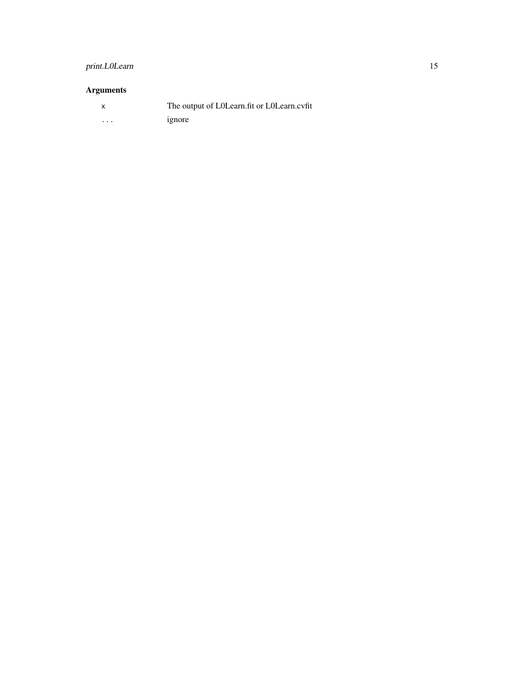# print.L0Learn 15

# Arguments

|                         | The output of LOLearn fit or LOLearn cyfit |
|-------------------------|--------------------------------------------|
| $\cdot$ $\cdot$ $\cdot$ | ignore                                     |